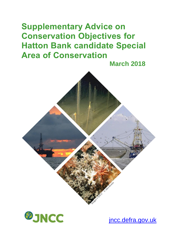# **Supplementary Advice on Conservation Objectives for Hatton Bank candidate Special Area of Conservation**

 **March 2018**





[jncc.defra.gov.uk](http://www.jncc.defra.gov.uk/)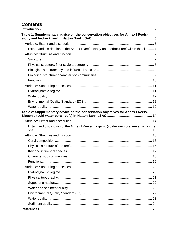# **Contents**

<span id="page-1-0"></span>

| Table 1: Supplementary advice on the conservation objectives for Annex I Reefs-            |  |
|--------------------------------------------------------------------------------------------|--|
|                                                                                            |  |
| Extent and distribution of the Annex I Reefs- stony and bedrock reef within the site  7    |  |
|                                                                                            |  |
|                                                                                            |  |
|                                                                                            |  |
|                                                                                            |  |
|                                                                                            |  |
|                                                                                            |  |
|                                                                                            |  |
|                                                                                            |  |
|                                                                                            |  |
|                                                                                            |  |
|                                                                                            |  |
| Table 2: Supplementary advice on the conservation objectives for Annex I Reefs-            |  |
|                                                                                            |  |
| Extent and distribution of the Annex I Reefs- Biogenic (cold-water coral reefs) within the |  |
|                                                                                            |  |
|                                                                                            |  |
|                                                                                            |  |
|                                                                                            |  |
|                                                                                            |  |
|                                                                                            |  |
|                                                                                            |  |
|                                                                                            |  |
|                                                                                            |  |
|                                                                                            |  |
|                                                                                            |  |
|                                                                                            |  |
|                                                                                            |  |
|                                                                                            |  |
|                                                                                            |  |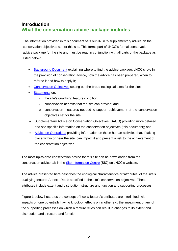# **Introduction What the conservation advice package includes**

The information provided in this document sets out JNCC's supplementary advice on the conservation objectives set for this site. This forms part of JNCC's formal conservation advice package for the site and must be read in conjunction with all parts of the package as listed below:

- [Background](http://jncc.defra.gov.uk/pdf/HattonBank_Background_V1.0.pdf) Document explaining where to find the advice package, JNCC's role in the provision of conservation advice, how the advice has been prepared, when to refer to it and how to apply it;
- [Conservation Objectives](http://jncc.defra.gov.uk/pdf/HattonBank_ConservationObjectives_V1.0.pdf) setting out the broad ecological aims for the site;
- [Statements](http://jncc.defra.gov.uk/pdf/HattonBank_ConservationStatements_V1.0.pdf) on:
	- o the site's qualifying feature condition;
	- o conservation benefits that the site can provide; and
	- $\circ$  conservation measures needed to support achievement of the conservation objectives set for the site.
- Supplementary Advice on Conservation Objectives (SACO) providing more detailed and site-specific information on the conservation objectives (this document); and
- [Advice on Operations](http://jncc.defra.gov.uk/docs/HattonBank_AdviceOnOperations_V1.0.xlsx) providing information on those human activities that, if taking place within or near the site, can impact it and present a risk to the achievement of the conservation objectives.

The most up-to-date conservation advice for this site can be downloaded from the conservation advice tab in the [Site Information Centre](http://jncc.defra.gov.uk/page-6535) (SIC) on JNCC's website.

The advice presented here describes the ecological characteristics or 'attributes' of the site's qualifying feature: Annex I Reefs specified in the site's conservation objectives. These attributes include extent and distribution, structure and function and supporting processes.

Figure 1 below illustrates the concept of how a feature's attributes are interlinked: with impacts on one potentially having knock-on effects on another e.g. the impairment of any of the supporting processes on which a feature relies can result in changes to its extent and distribution and structure and function.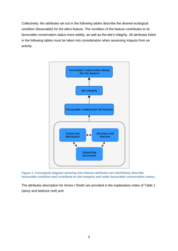Collectively, the attributes set out in the following tables describe the desired ecological condition (favourable) for the site's feature. The condition of the feature contributes to its favourable conservation status more widely, as well as the site's integrity. All attributes listed in the following tables must be taken into consideration when assessing impacts from an activity.



**Figure 1. Conceptual diagram showing how feature attributes are interlinked, describe favourable condition and contribute to site integrity and wider favourable conservation status.**

The attributes description for Annex I Reefs are provided in the explanatory notes of [Table 1](#page-5-0) (stony and bedrock reef) and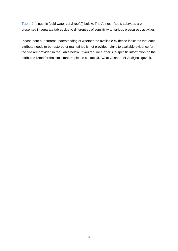[Table 2](#page-13-0) (biogenic (cold-water coral reefs)) below. The Annex I Reefs subtypes are presented in separate tables due to differences of sensitivity to various pressures / activities.

Please note our current understanding of whether the available evidence indicates that each attribute needs to be restored or maintained is not provided. Links to available evidence for the site are provided in the Table below. If you require further site-specific information on the attributes listed for the site's feature please contact JNCC at [OffshoreMPAs@jncc.gov.uk.](mailto:OffshoreMPAs@jncc.gov.uk)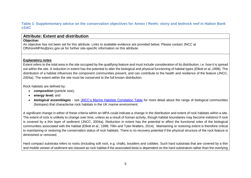## <span id="page-5-2"></span>**Table 1: Supplementary advice on the conservation objectives for Annex I Reefs- stony and bedrock reef in Hatton Bank cSAC**

# **Attribute: Extent and distribution**

#### **Objective:**

An objective has not been set for this attribute. Links to available evidence are provided below. Please contact JNCC at [OffshoreMPAs@jncc.gov.uk](mailto:OffshoreMPAs@jncc.gov.uk) for further site-specific information on this attribute.

# **Explanatory notes**

Extent refers to the total area in the site occupied by the qualifying feature and must include consideration of its distribution, i.e. how it is spread out within the site. A reduction in extent has the potential to alter the biological and physical functioning of habitat types (Elliott *et al.,*1998). The distribution of a habitat influences the component communities present, and can contribute to the health and resilience of the feature (JNCC, 2004a). The extent within the site must be conserved to the full known distribution.

Rock habitats are defined by:

- *composition* (particle size);
- <span id="page-5-0"></span>• *energy level;* and
- *biological assemblages* see [JNCC's Marine Habitats Correlation Table](http://jncc.defra.gov.uk/page-6767) for more detail about the range of biological communities (biotopes) that characterise rock habitats in the UK marine environment.

<span id="page-5-1"></span>A significant change in either of these criteria within an MPA could indicate a change in the distribution and extent of rock habitats within a site. The extent of rock is unlikely to change over time, unless as a result of human activity, though habitat boundaries may become indistinct if rock is covered by a thin layer of sediment (JNCC, 2004a). Reduction in extent has the potential to affect the functional roles of the biological communities associated with the habitat (Elliott *et al.,* 1998; Tillin and Tyler-Walters, 2014). Maintaining or restoring extent is therefore critical to maintaining or restoring the conservation status of rock habitats. There is no recovery potential if the physical structure of the rock feature is diminished or removed.

Hard compact substrata refers to rocks (including soft rock, e.g. chalk), boulders and cobbles. Such hard substrata that are covered by a thin and mobile veneer of sediment are classed as rock habitat if the associated biota is dependent on the hard substratum rather than the overlying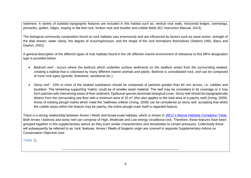sediment. A variety of subtidal topographic features are included in this habitat such as: vertical rock walls, horizontal ledges, overhangs, pinnacles, gullies, ridges, sloping or flat bed rock, broken rock and boulder and cobble fields (EC Instruction Manual, 2013).

The biological community composition found on rock habitats vary enormously and are influenced by factors such as wave action, strength of the tidal stream, water clarity, the degree of scouring/erosion, and the shape of the rock formations themselves (Sebens 1991; Barry and Dayton, 2001).

A general description of the different types of rock habitats found in the UK offshore marine environment of relevance to this MPA designation type is provided below:

- *Bedrock reef* occurs where the bedrock which underlies surface sediments on the seafloor arises from the surrounding seabed, creating a habitat that is colonised by many different marine animals and plants. Bedrock is consolidated rock, and can be composed of most rock types (granite, limestone, sandstone etc.).
- *Stony reef* 10% or more of the seabed substratum should be composed of particles greater than 64 mm across, i.e. cobbles and boulders. The remaining supporting 'matrix' could be of smaller sized material. The reef may be consistent in its coverage or it may form patches with intervening areas of finer sediment. Epifaunal species dominate biological cover. Stony reef should be topographically distinct from the surrounding sea floor with a minimum area of 25 m<sup>2</sup> (this also applies to the total area of a patchy reef) (Irving, 2009). Areas of Iceberg plough-marks which meet the 'reefiness criteria' (Irving, 2009) can be considered as stony reef, accepting that whilst the cobble areas within the feature may be patchy, the entire plough-mark itself is regarded feature.

There is a strong relationship between Annex I Reefs and broad-scale habitats, which is shown in [JNCC's Marine Habitats Correlation Table.](http://jncc.defra.gov.uk/page-6767) Both Annex I bedrock and stony reef can comprise of High, Moderate and Low energy circalittoral rock. Therefore, these features have been grouped together in this supplementary advice as they exert similar characteristics and sensitivities to certain pressures. Collectively these will subsequently be referred to as 'rock' features. Annex I Reefs of biogenic origin are covered in separate Supplementary Advice on Conservation Objective (see

[Table 2](#page-13-1)).

-----------------------------------------------------------------------------------------------------------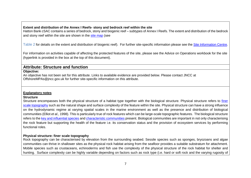#### **Extent and distribution of the Annex I Reefs- stony and bedrock reef within the site**

Hatton Bank cSAC contains a series of bedrock, stony and biogenic reef – subtypes of Annex I Reefs. The extent and distribution of the bedrock and stony reef within the site are shown in the [site map](http://jncc.defra.gov.uk/default.aspx?page=5201&LAYERS=TwelveTS%2CUKCS%2CReef%2CSAC&zoom=6&Y=58.81524&X=-17.41987) (see

[Table 2](#page-13-2) for details on the extent and distribution of biogenic reef). For further site-specific information please see the [Site Information Centre.](http://jncc.defra.gov.uk/page-6535)

For information on activities capable of affecting the protected features of the site, please see the Advice on Operations workbook for the site (hyperlink is provided in the box at the top of this document).

# **Attribute: Structure and function**

#### **Objective:**

An objective has not been set for this attribute. Links to available evidence are provided below. Please contact JNCC at [OffshoreMPAs@jncc.gov.uk](mailto:OffshoreMPAs@jncc.gov.uk) for further site-specific information on this attribute.

#### **Explanatory notes**

#### **Structure**

<span id="page-7-0"></span>Structure encompasses both the physical structure of a habitat type together with the biological structure. Physical structure refers to [finer](#page-7-4)  [scale topography](#page-7-4) such as the natural shape and surface complexity of the feature within the site. Physical structure can have a strong influence on the hydrodynamic regime at varying spatial scales in the marine environment as well as the presence and distribution of biological communities (Elliot *et al.,* 1998). This is particularly true of rock features which can be large-scale topographic features. The biological structure refers to the [key and influential species](#page-8-1) an[d characteristic communities](#page-9-1) present. Biological communities are important in not only characterising the rock feature but supporting the health of the feature i.e. its conservation status and the provision of ecosystem services by performing functional roles.

#### **Physical structure: finer scale topography**

<span id="page-7-4"></span><span id="page-7-3"></span><span id="page-7-2"></span><span id="page-7-1"></span>Rock topography can be characterised by elevation from the surrounding seabed. Sessile species such as sponges, bryozoans and algae communities can thrive in shallower sites as the physical rock habitat arising from the seafloor provides a suitable substratum for attachment. Mobile species such as crustaceans, echinoderms and fish use the complexity of the physical structure of the rock habitat for shelter and hunting. Surface complexity can be highly variable depending on factors such as rock type (i.e. hard or soft rock and the varying rugosity of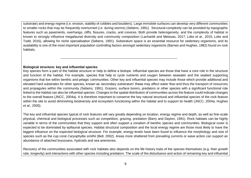substrate) and energy regime (i.e. erosion, stability of cobbles and boulders). Large immobile surfaces can develop very different communities to smaller rocks that may be frequently overturned (i.e. during storms) (Sebens, 1991). Structural complexity can be provided by topographic features such as pavements, overhangs, cliffs, fissures, cracks, and crevices. Both provide heterogeneity, and the complexity of habitat is known to strongly influence megafaunal diversity and community composition [\(Lacharité](http://www.sciencedirect.com/science/article/pii/S0967063716303685#!) and Metaxas, 2017; Loke *et al.,* 2015; Loke and Todd*,* 2016), allowing for niche specialisation (Sebens, 1991). Substratum space is an essential resource for sedentary organisms, and its availability is one of the most important population controlling factors amongst sedentary organisms (Barnes and Hughes, 1982) found on rock habitats.

-----------------------------------------------------------------------------------------------------------

<span id="page-8-1"></span>**Biological structure: key and influential species**

Key species form a part of the habitat structure or help to define a biotope. Influential species are those that have a core role in the structure and function of the habitat. For example, species that help to cycle nutrients and oxygen between seawater and the seabed supporting organisms that live within benthic and pelagic communities. Other key and influential species may include those which provide additional and elevated hard substrates for other species, known as 'secondary substratum' these may affect water flow and thus the transport of resources and propagules within the community (Sebens, 1991). Grazers, surface borers, predators or other species with a significant functional role linked to the habitat can also be influential species. Changes to the spatial distribution of communities across the feature could indicate changes to the overall feature (JNCC, 2004a). It is therefore important to conserve the key natural structural and influential species of the rock feature within the site to avoid diminishing biodiversity and ecosystem functioning within the habitat and to support its health (JNCC, 2004a; Hughes *et al.,* 2005).

The key and influential species typical of rock features will vary greatly depending on location, energy regime and depth, as well as fine-scale physical, chemical and biological processes such as competition, grazing, predation (Barry and Dayton, 1991). Rock habitats can be highly variable in terms of the communities that they support and often support a zonation of benthic species and communities. Biological cover is expected to be dominated by epifaunal species. Habitat structural composition and the local energy regime are those most likely to have the biggest influence on the expected biological structure. For example, energy levels have been found to influence the morphology and size of species such as the cup coral *Caryophyllia smithii* (Bell, 2002). Areas more sheltered from prevailing currents or wave action can support an abundance of attached bryozoans, hydroids and sea anemones.

<span id="page-8-0"></span>Recovery of the communities associated with rock habitats also depends on the life history traits of the species themselves (e.g. their growth rate, longevity) and interactions with other species including predators. The scale of the disturbance and action of remaining key and influential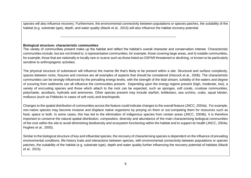species will also influence recovery. Furthermore, the environmental connectivity between populations or species patches, the suitability of the habitat (e.g. substrate type), depth, and water quality (Mazik *et al.,* 2015) will also influence the habitat recovery potential.

----------------------------------------------------------------------------------------------------------

#### <span id="page-9-1"></span>**Biological structure: characteristic communities**

The variety of communities present make up the habitat and reflect the habitat's overall character and conservation interest. Characteristic communities include, but are not limited to; i) representative communities, for example, those covering large areas, and ii) notable communities, for example, those that are nationally or locally rare or scarce such as those listed as OSPAR threatened or declining, or known to be particularly sensitive to anthropogenic activities.

The physical structure of substratum will influence the marine life that's likely to be present within a site. Structural and surface complexity, spaces between rocks, fissures and crevices are all examples of aspects that should be considered (Hiscock et al., 2006). The characteristic communities can be strongly influenced by the prevailing energy levels, with the strength of the tidal stream, turbidity of the waters and degree of scouring from sediments can all influence the communities present. Depending upon the energy regime present (high, moderate, low), a variety of encrusting species and those which attach to the rock can be expected, such as sponges, soft corals, crustose communities, polychaete, ascidians, hydroids and anemones. Other species present may include starfish, brittlestars, sea urchins, crabs, squat lobster, molluscs (such as Piddocks in cases of soft rock) and brachiopods.

<span id="page-9-0"></span>Changes to the spatial distribution of communities across the feature could indicate changes to the overall feature (JNCC, 2004a). For example, non-native species may become invasive and displace native organisms by preying on them or out-competing them for resources such as food, space or both. In some cases, this has led to the elimination of indigenous species from certain areas (JNCC, 2004b). It is therefore important to conserve the natural spatial distribution, composition, diversity and abundance of the main characterising biological communities of the rock within the site to avoid diminishing biodiversity and ecosystem functioning within the habitat and to support its health (JNCC, 2004a; Hughes *et al.,* 2005).

Similar to the biological structure of key and influential species, the recovery of characterising species is dependent on the influence of prevailing environmental conditions, life-history traits and interactions between species, with environmental connectivity between populations or species patches, the suitability of the habitat (e.g. substrate type), depth and water quality further influencing the recovery potential of habitats (Mazik *et al.,* 2015).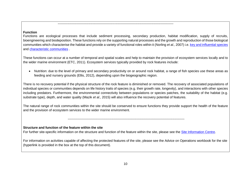#### **Function**

Functions are ecological processes that include sediment processing, secondary production, habitat modification, supply of recruits, bioengineering and biodeposition. These functions rely on the supporting natural processes and the growth and reproduction of those biological communities which characterise the habitat and provide a variety of functional roles within it (Norling *et al.,* 2007) i.e. [key and influential species](#page-8-1) and [characteristic communities](#page-9-1) .

----------------------------------------------------------------------------------------------------------

These functions can occur at a number of temporal and spatial scales and help to maintain the provision of ecosystem services locally and to the wider marine environment (ETC, 2011). Ecosystem services typically provided by rock features include:

• Nutrition: due to the level of primary and secondary productivity on or around rock habitat, a range of fish species use these areas as feeding and nursery grounds (Ellis, 2012), depending upon the biogeographic region.

There is no recovery potential if the physical structure of the rock feature is diminished or removed. The recovery of associated populations of individual species or communities depends on life history traits of species (e.g. their growth rate, longevity), and interactions with other species including predators. Furthermore, the environmental connectivity between populations or species patches, the suitability of the habitat (e.g. substrate type), depth, and water quality (Mazik *et al.,* 2015) will also influence the recovery potential of features.

<span id="page-10-0"></span>The natural range of rock communities within the site should be conserved to ensure functions they provide support the health of the feature and the provision of ecosystem services to the wider marine environment.

-----------------------------------------------------------------------------------------------------------

#### **Structure and function of the feature within the site**

For further site-specific information on the structure and function of the feature within the site, please see the [Site Information Centre.](http://jncc.defra.gov.uk/page-6535)

For information on activities capable of affecting the protected features of the site, please see the Advice on Operations workbook for the site (hyperlink is provided in the box at the top of this document).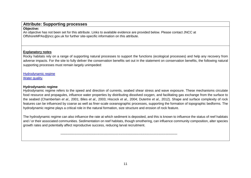# **Attribute: Supporting processes**

#### **Objective:**

An objective has not been set for this attribute. Links to available evidence are provided below. Please contact JNCC at [OffshoreMPAs@jncc.gov.uk](mailto:OffshoreMPAs@jncc.gov.uk) for further site-specific information on this attribute.

# **Explanatory notes**

Rocky habitats rely on a range of supporting natural processes to support the functions (ecological processes) and help any recovery from adverse impacts. For the site to fully deliver the conservation benefits set out in the statement on conservation benefits, the following natural supporting processes must remain largely unimpeded:

[Hydrodynamic regime](#page-11-2) [Water quality.](#page-12-3)

# <span id="page-11-2"></span>**Hydrodynamic regime**

<span id="page-11-0"></span>Hydrodynamic regime refers to the speed and direction of currents, seabed shear stress and wave exposure. These mechanisms circulate food resource and propagules, influence water properties by distributing dissolved oxygen, and facilitating gas exchange from the surface to the seabed (Chamberlain *et al.,* 2001; Biles *et al.,* 2003; Hiscock *et al.,* 2004; Dutertre *et al.,* 2012). Shape and surface complexity of rock features can be influenced by coarse as well as finer-scale oceanographic processes, supporting the formation of topographic bedforms. The hydrodynamic regime plays a critical role in the natural formation, size structure and erosion of rock feature.

The hydrodynamic regime can also influence the rate at which sediment is deposited, and this is known to influence the status of reef habitats and / or their associated communities. Sedimentation on reef habitats, though smothering, can influence community composition, alter species growth rates and potentially affect reproductive success, reducing larval recruitment.

<span id="page-11-1"></span>-----------------------------------------------------------------------------------------------------------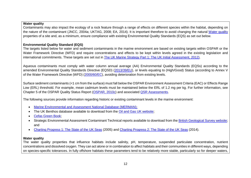#### <span id="page-12-3"></span>**Water quality**

Contaminants may also impact the ecology of a rock feature through a range of effects on different species within the habitat, depending on the nature of the contaminant (JNCC, 2004a; UKTAG, 2008; EA, 2014). It is important therefore to avoid changing the natural [Water quality](#page-12-4) properties of a site and, as a minimum, ensure compliance with existing Environmental Quality Standards (EQS) as set out below.

#### **Environmental Quality Standard (EQS)**

The targets listed below for water and sediment contaminants in the marine environment are based on existing targets within OSPAR or the Water Framework Directive (WFD) and require concentrations and effects to be kept within levels agreed in the existing legislation and international commitments. These targets are set out in [The UK Marine Strategy Part 1: The UK Initial Assessment,](https://www.gov.uk/government/uploads/system/uploads/attachment_data/file/69632/pb13860-marine-strategy-part1-20121220.pdf) 2012).

Aqueous contaminants must comply with water column annual average (AA) Environmental Quality Standards (EQSs) according to the amended Environmental Quality Standards Directive (EQSD) [\(2013/39/EU\)](http://eur-lex.europa.eu/LexUriServ/LexUriServ.do?uri=OJ:L:2013:226:0001:0017:EN:PDF), or levels equating to (High/Good) Status (according to Annex V of the Water Framework Directive (WFD) [\(2000/60/EC\)](http://eur-lex.europa.eu/legal-content/EN/TXT/?uri=CELEX:02000L0060-20141120), avoiding deterioration from existing levels.

Surface sediment contaminants (<1 cm from the surface) must fall below the OSPAR Environment Assessment Criteria (EAC) or Effects Range Low (ERL) threshold. For example, mean cadmium levels must be maintained below the ERL of 1.2 mg per kg. For further information, see Chapter 5 of the OSPAR Quality Status Report [\(OSPAR,](http://qsr2010.ospar.org/en/index.html) 2010c) and associated [QSR Assessments.](http://qsr2010.ospar.org/media/assessments/p00390_2009_CEMP_assessment_report.pdf)

<span id="page-12-0"></span>The following sources provide information regarding historic or existing contaminant levels in the marine environment:

- [Marine Environmental and Assessment National Database \(MERMAN\);](http://www.bodc.ac.uk/projects/uk/merman/project_overview/)
- The UK Benthos database available to download from the [Oil and Gas UK website;](http://oilandgasuk.co.uk/environment-resources.cfm)
- [Cefas Green Book;](https://www.cefas.co.uk/cefas-data-hub/publication-abstract/?id=7864)
- <span id="page-12-1"></span>• Strategic Environmental Assessment Contaminant Technical reports available to download from the British Geological Survey website: and
- [Charting Progress 1: The State of the UK Seas](http://webarchive.nationalarchives.gov.uk/20141203174606/http:/chartingprogress.defra.gov.uk/charting-progress2005) (2005) and [Charting Progress 2: The State of the UK Seas](http://webarchive.nationalarchives.gov.uk/20141203170558/http:/chartingprogress.defra.gov.uk/) (2014).

#### <span id="page-12-4"></span>**Water quality**

<span id="page-12-2"></span>The water quality properties that influence habitats include salinity, pH, temperature, suspended particulate concentration, nutrient concentrations and dissolved oxygen. They can act alone or in combination to affect habitats and their communities in different ways, depending on species-specific tolerances. In fully offshore habitats these parameters tend to be relatively more stable, particularly so for deeper waters,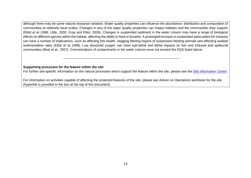although there may be some natural seasonal variation. Water quality properties can influence the abundance, distribution and composition of communities at relatively local scales. Changes in any of the water quality properties can impact habitats and the communities they support (Elliot *et al.,*1998; Little, 2000; Gray and Elliot, 2009). Changes in suspended sediment in the water column may have a range of biological effects on different species within the habitat; affecting the ability to feed or breathe. A prolonged increase in suspended particulates for instance can have a number of implications, such as affecting fish health, clogging filtering organs of suspension feeding animals and affecting seabed sedimentation rates (Elliot *et al.,*1998). Low dissolved oxygen can have sub-lethal and lethal impacts on fish and infaunal and epifaunal communities (Best *et al.,* 2007). Concentrations of contaminants in the water column must not exceed the EQS listed above.

#### **Supporting processes for the feature within the site**

For further site-specific information on the natural processes which support the feature within the site, please see the [Site Information Centre.](http://jncc.defra.gov.uk/page-6535)

<span id="page-13-2"></span><span id="page-13-1"></span><span id="page-13-0"></span>For information on activities capable of affecting the protected features of the site, please see Advice on Operations workbook for the site (hyperlink is provided in the box at the top of this document).

-----------------------------------------------------------------------------------------------------------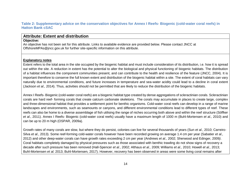#### **Table 2: Supplementary advice on the conservation objectives for Annex I Reefs- Biogenic (cold-water coral reefs) in Hatton Bank cSAC**

# **Attribute: Extent and distribution**

#### **Objective:**

An objective has not been set for this attribute. Links to available evidence are provided below. Please contact JNCC at [OffshoreMPAs@jncc.gov.uk](mailto:OffshoreMPAs@jncc.gov.uk) for further site-specific information on this attribute.

#### **Explanatory notes**

Extent refers to the total area in the site occupied by the biogenic habitat and must include consideration of its distribution, i.e. how it is spread out within the site. A reduction in extent has the potential to alter the biological and physical functioning of biogenic habitats. The distribution of a habitat influences the component communities present, and can contribute to the health and resilience of the feature (JNCC, 2004). It is important therefore to conserve the full known extent and distribution of the biogenic habitat within a site. The extent of coral habitats can vary naturally due to environmental conditions, and future increases in temperature and sea-water acidity could lead to a decline in coral extent (Jackson *et al.,* 2014). Thus, activities should not be permitted that are likely to reduce the distribution of the biogenic habitats.

<span id="page-14-1"></span><span id="page-14-0"></span>Annex I Reefs- Biogenic (cold-water coral reefs) are a biogenic habitat type created by dense aggregations of scleractinian corals. Scleractinian corals are hard reef- forming corals that create calcium carbonate skeletons. The corals may accumulate in places to create large, complex and three-dimensional habitat that provides a settlement point for benthic organisms. Cold-water coral reefs can develop in a range of marine landscapes and environments, such as seamounts or canyons, and different environmental conditions lead to different types of reef. These reefs can also be home to a diverse assemblage of fish utilising the range of niches occurring both above and within the reef structure (Söffker *et al*., 2011). Annex I Reefs- Biogenic (cold-water coral reefs) usually have a maximum length of 1000 m (Buhl-Mortensen *et al.,* 2010) and can be up to 20 m high (OSPAR, 2009a).

Growth rates of many corals are slow, but where they do persist, colonies can live for several thousands of years (Sun *et al.*, 2010; Carreiro-Silva *et al.*, 2013). Some reef-forming cold-water corals however have been recorded growing on average 1.4 cm per year (Sabatier *et al.,*  2012) and other deep-water corals can have growth rates exceeding 2 cm per year (Andrews *et al.,* 2002; Sherwood and Edinger, 2009*)*. Coral habitats completely damaged by physical pressures such as those associated with benthic trawling do not show signs of recovery a decade after such pressure has been removed (Hall-Spencer *et al.*, 2002; Althaus *et al.,* 2009; Williams *et al.,* 2010; Howell *et al.,* 2013; Buhl-Mortensen *et al.* 2013; Buhl-Mortensen*,* 2017). However, recovery has been observed in areas were some living coral remains after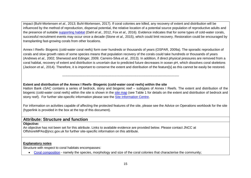impact (Buhl-Mortensen *et al.,* 2013; Buhl-Mortensen*,* 2017). If coral colonies are killed, any recovery of extent and distribution will be influenced by the method of reproduction, dispersal potential, the relative location of a potential source population of reproductive adults and the presence of suitable [supporting habitat](#page-22-3) (Dahl *et al.,* 2012, Fox *et al.,* 2016). Evidence indicates that for some types of cold-water corals, successful recruitment events may occur once a decade (Stone *et al.,* 2015), which could limit recovery. Restoration could be encouraged by transplanting fast-growing corals from other locations.

Annex I Reefs- Biogenic (cold-water coral reefs) form over hundreds or thousands of years (OSPAR, 2009a). The sporadic reproduction of corals and slow growth rates of some species means that population recovery of the corals could take hundreds or thousands of years (Andrews *et al.,* 2002; Sherwood and Edinger, 2009; Carreiro-Silva *et al.*, 2013). In addition, if direct physical pressures are removed from a coral habitat, recovery of extent and distribution is uncertain due to predicted future decreases in ocean pH, which dissolves coral skeletons (Jackson *et al.,* 2014). Therefore, it is important to conserve the extent and distribution of the feature[s] as this cannot be easily be restored.

#### **Extent and distribution of the Annex I Reefs- Biogenic (cold-water coral reefs) within the site**

-----------------------------------------------------------------------------------------------------------

Hatton Bank cSAC contains a series of bedrock, stony and biogenic reef – subtypes of Annex I Reefs. The extent and distribution of the biogenic (cold-water coral reefs) within the site is shown in the [site map](http://jncc.defra.gov.uk/default.aspx?page=5201&LAYERS=TwelveTS%2CUKCS%2CReef%2CSAC&zoom=6&Y=58.81524&X=-17.41987) (see [Table 1](#page-5-2) for details on the extent and distribution of bedrock and stony reef). For further site-specific information please see the [Site Information Centre.](http://jncc.defra.gov.uk/page-6535)

For information on activities capable of affecting the protected features of the site, please see the Advice on Operations workbook for the site (hyperlink is provided in the box at the top of this document).

# **Attribute: Structure and function**

#### **Objective:**

An objective has not been set for this attribute. Links to available evidence are provided below. Please contact JNCC at [OffshoreMPAs@jncc.gov.uk](mailto:OffshoreMPAs@jncc.gov.uk) for further site-specific information on this attribute.

#### **Explanatory notes**

Structure with respect to coral habitats encompasses:

<span id="page-15-1"></span><span id="page-15-0"></span>• [Coral composition](#page-16-2) - namely the species, morphology and size of the coral colonies that characterise the community;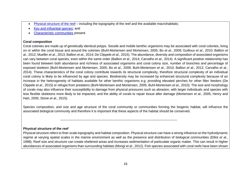• [Physical structure of the reef](#page-16-3) – including the topography of the reef and the available macrohabitats;

<span id="page-16-0"></span>-----------------------------------------------------------------------------------------------------------

- [Key and influential species;](#page-17-1) and
- [Characteristic communities](#page-18-1) present.

## <span id="page-16-2"></span>**Coral composition**

Coral colonies are made up of genetically identical polyps. Sessile and mobile benthic organisms may be associated with coral colonies, living on or within the coral tissue and around the colonies (Buhl-Mortensen and Mortensen, 2005; Bo *et al*., 2009; Guilloux *et al*., 2010; Ballion *et al.,* 2012; Mueller *et al.*, 2013; Ballion *et al.,* 2014; De Clippele *et al.*, 2015). The abundance, diversity and composition of associated organisms can vary between coral species, even within the same order (Ballion *et al.,* 2014; Carvalho *et al.,* 2014). A significant positive relationship has been found between both abundance and richness of associated organisms and coral colony size, number of branches and percentage of exposed skeleton (Buhl-Mortensen and Mortensen, 2005; Bo *et al*., 2009; Buhl-Mortensen *et al.,* 2010; Ballion *et al.,* 2012; Carvalho *et al.,*  2014). These characteristics of the coral colony contribute towards its structural complexity, therefore structural complexity of an individual coral colony is likely to be influenced by age and species. Biodiversity may be increased by enhanced structural complexity because of an increase in the heterogeneity of habitats available for other benthic organisms e.g. providing elevated perches for other filter feeders (De Clippele *et al*., 2015) or refugia from predators (Buhl-Mortensen and Mortensen, 2005; Buhl-Mortensen *et al.,* 2010). The size and morphology of corals may also influence their susceptibility to damage from physical pressures such as abrasion, with larger individuals and species with less flexible skeletons more likely to be impacted, and the ability of corals to repair tissue after damage (Mortensen *et al.,* 2005; Henry and Hart, 2005; Stone *et al.,* 2015).

Species composition, and size and age structure of the coral community or communities forming the biogenic habitat, will influence the associated biological community and therefore it is important that these aspects of the habitat should be conserved.

<span id="page-16-3"></span>**Physical structure of the reef**

<span id="page-16-1"></span>Physical structure refers to finer scale topography and habitat composition. Physical structure can have a strong influence on the hydrodynamic regime at varying spatial scales in the marine environment as well as the presence and distribution of biological communities (Elliot *et al.,*  1998). Reef size and structure can create sheltered areas and increases sedimentation of particulate organic matter. This can result in higher abundances of associated organisms than surrounding habitats (Morigi *et al*., 2012). Fish species associated with coral reefs have been shown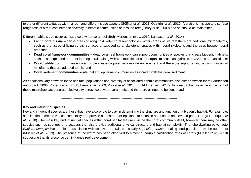to prefer different altitudes within a reef, and different slope aspects (Söffker *et al.*, 2011; Quattrini *et al.,* 2012). Variations in slope and surface roughness of a reef can increase diversity in benthic communities across the reef (Henry *et al.,* 2009) and so should be maintained.

Different habitats can occur across a cold-water coral reef (Buhl-Mortensen *et al.,* 2010; Lancaster *et al.,* 2014):

- **Living coral tissue** dense areas of living cold water coral reef colonies. Within areas of live reef there are additional microhabitats, such as the tissue of living corals, surfaces of exposed coral skeletons, spaces within coral skeletons and the gaps between coral branches;
- **Dead coral framework communities –** dead coral reef framework can support communities of species that create biogenic habitats, such as sponges and non-reef forming corals, along with communities of other organisms such as hydroids, bryozoans and ascidians;
- **Coral rubble communities –** coral rubble creates a potentially mobile environment and therefore supports unique communities of meiofauna that are adapted to this; and
- **Coral sediment communities –** infaunal and epifaunal communities associated with the coral sediment.

As conditions vary between these habitats, populations and diversity of associated benthic communities also differ between them (Mortensen and Fosså, 2006; Roberts *et al.,* 2008; Henry *et al.,* 2009; Purser *et al.,* 2013; Buhl-Mortensen, 2017). As a result, the presence and extent of these macrohabitats generate biodiversity across cold-water coral reefs and therefore all need to be conserved.

-----------------------------------------------------------------------------------------------------------

#### <span id="page-17-1"></span>**Key and influential species**

<span id="page-17-0"></span>Key and influential species are those that have a core role to play in determining the structure and function of a biogenic habitat. For example, species that increase vertical complexity and provide a substrate for epibionts to colonise and use as an elevated perch (Braga-Henriques *et al.*, 2010). The main key and influential species within coral habitat features will be the coral community itself, however there may be other species such as sponges or bryozoans that also provide additional physical structure and habitat complexity. The tube dwelling polychaete *Eunice norvegica* lives in close association with cold-water corals particularly *Lophelia pertusa,* stealing food particles from the coral host (Mueller *et al.,* 2013). The presence of the worm has been observed to almost quadruple calcification rates of corals (Mueller *et al.,* 2013) suggesting that its presence can influence reef development.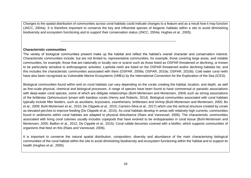Changes to the spatial distribution of communities across coral habitats could indicate changes to a feature and as a result how it may function (JNCC, 2004a). It is therefore important to conserve the key and influential species of biogenic habitats within a site to avoid diminishing biodiversity and ecosystem functioning and to support their conservation status (JNCC, 2004a; Hughes *et al.*, 2005).

----------------------------------------------------------------------------------------------------------

#### <span id="page-18-1"></span>**Characteristic communities**

The variety of biological communities present make up the habitat and reflect the habitat's overall character and conservation interest. Characteristic communities include, but are not limited to, representative communities, for example, those covering large areas, and notable communities, for example, those that are nationally or locally rare or scarce such as those listed as OSPAR threatened or declining, or known to be particularly sensitive to anthropogenic activities. *Lophelia reefs* are listed on the OSPAR threatened and/or declining habitats list, and this includes the characteristic communities associated with them (OSPAR, 2009a; OSPAR, 2010a; OSPAR, 2010b). Cold water coral reefs have also been recognised as Vulnerable Marine Ecosystems (VMEs) by the International Convention for the Exploration of the Sea (ICES).

Biological communities found within and on coral habitats can vary depending on the corals creating the habitat, location, and depth, as well as fine-scale physical, chemical and biological processes. A range of species have been found to have commensal or parasitic associations with deep-water coral species, some of which are obligate relationships (Buhl-Mortensen and Mortensen, 2004) such as strong associations of the brittlestar *Ophiomusium lymani* with bamboo corals (Henry and Roberts, 2014). Biological communities associated with coral habitats typically include filter feeders, such as ascidians, bryozoans, zoantherians, brittlestars and shrimp (Buhl-Mortensen and Mortensen, 2005; Bo *et al*., 2009; Buhl-Mortensen *et al.,* 2010; De Clippele *et al.,* 2015; Carreiro-Silva *et al.,* 2017) which use the vertical structure created by corals as elevated perches to improve feeding (De Clippele *et al.,* 2015). As coral habitats develop in areas with relatively high currents, communities found in sediments within coral habitats are adapted to physical disturbance (Raes and Vanreusel, 2006). The characteristic communities associated with living coral colonies usually includes copepods that have evolved to be endoparasites in coral tissue (Buhl-Mortensen and Mortensen, 2005; Baillon *et al.,* 2012; De Cippele *et al.,* 2015). Coral rubble becomes covered with a biofilm, which supports communities of organisms that feed on this (Raes and Vanreusel, 2006).

<span id="page-18-0"></span>It is important to conserve the natural spatial distribution, composition, diversity and abundance of the main characterising biological communities of the coral habitat within the site to avoid diminishing biodiversity and ecosystem functioning within the habitat and to support its health (Hughes *et al.*, 2005).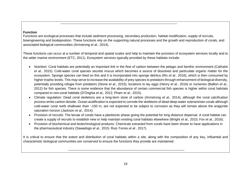#### **Function**

Functions are ecological processes that include sediment processing, secondary production, habitat modification, supply of recruits, bioengineering and biodeposition. These functions rely on the supporting natural processes and the growth and reproduction of corals, and associated biological communities (Armstrong *et al.,* 2014).

-----------------------------------------------------------------------------------------------------------

These functions can occur at a number of temporal and spatial scales and help to maintain the provision of ecosystem services locally and to the wider marine environment (ETC, 2011). Ecosystem services typically provided by these habitats include:

- Nutrition: Coral habitats are potentially an important link in the flow of carbon between the pelagic and benthic environment (Cathalot *et al.,* 2015)*.* Cold-water coral species secrete mucus which becomes a source of dissolved and particulate organic matter for the ecosystem. Sponge species can feed on this and it is incorporated into sponge detritus (Rix *et al.,* 2016), which is then consumed by higher trophic levels. This may serve to increase the availability of prey species to predators through enhancement of biological diversity, potentially providing refugia from predators (Stone *et al.,* 2015), locations to lay eggs (Henry *et al.*, 2016) or nurseries (Ballion *et al.,*  2012) for fish species. There is some evidence that the abundance of certain commercial fish species is higher within coral habitats compared to non-coral habitats (D'Onghia *et al.,* 2012; Pham *et al.,* 2015).
- <span id="page-19-0"></span>• Climate regulation: Dead coral skeletons are a long-term store of carbon (Armstrong *et al.,* 2014), although the coral calcification process emits carbon dioxide. Ocean acidification is expected to corrode the skeletons of dead deep-water scleractinian corals although cold-water coral reefs shallower than ~150 m, are not expected to be subject to corrosion as they will remain above the aragonite saturation horizon (Jackson *et al.,* 2014).
- Provision of recruits: The larvae of corals have a planktonic phase giving the potential for long distance dispersal. A coral habitat can create a supply of recruits to establish new or help maintain existing coral habitats elsewhere (Wright *et al.,* 2015; Fox *et al.,* 2016).
- Provision of biochemical and biotechnological products: Chemicals extracted from corals have been shown to have applications in the pharmaceutical industry (Sawadogo *et al.,* 2015; Ruiz-Torres *et al.*, 2017).

It is critical to ensure that the extent and distribution of coral habitats within a site, along with the composition of any key, influential and characteristic biological communities are conserved to ensure the functions they provide are maintained.

-----------------------------------------------------------------------------------------------------------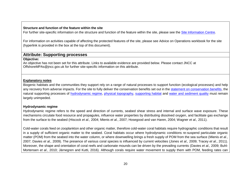#### **Structure and function of the feature within the site**

For further site-specific information on the structure and function of the feature within the site, please see the [Site Information Centre.](http://jncc.defra.gov.uk/page-6535)

For information on activities capable of affecting the protected features of the site, please see Advice on Operations workbook for the site (hyperlink is provided in the box at the top of this document).

# **Attribute: Supporting processes**

#### **Objective:**

An objective has not been set for this attribute. Links to available evidence are provided below. Please contact JNCC at [OffshoreMPAs@jncc.gov.uk](mailto:OffshoreMPAs@jncc.gov.uk) for further site-specific information on this attribute.

# **Explanatory notes**

Biogenic habitats and the communities they support rely on a range of natural processes to support function (ecological processes) and help any recovery from adverse impacts. For the site to fully deliver the conservation benefits set out in the [statement on conservation benefits,](http://jncc.defra.gov.uk/pdf/HattonBank_ConservationStatements_V1.0.pdf) the natural supporting processes of hydrodynamic regime, [physical topography,](#page-21-1) [supporting habitat](#page-22-3) and [water and sediment quality](#page-22-4) must remain largely unimpeded.

# **Hydrodynamic regime**

Hydrodynamic regime refers to the speed and direction of currents, seabed shear stress and internal and surface wave exposure. These mechanisms circulate food resource and propagules, influence water properties by distributing dissolved oxygen, and facilitate gas exchange from the surface to the seabed (Hiscock *et al.,* 2004; Mienis *et al.*, 2007; Hosegood and van Haren, 2004; Wagner *et al.,* 2011).

<span id="page-20-1"></span><span id="page-20-0"></span>Cold-water corals feed on zooplankton and other organic matter, therefore cold-water coral habitats require hydrographic conditions that result in a supply of sufficient organic matter to the seabed. Coral habitats occur where hydrodynamic conditions re-suspend particulate organic matter (POM) from the seabed into the water column, or where downwelling brings a fresh supply of POM from the sea surface (Mienis *et al.*, 2007; Davies *et al.,* 2009). The presence of various coral species is influenced by current velocities (Jones *et al.,* 2009; Tracey *et al*., 2011). Moreover, the shape and orientation of coral reefs and carbonate mounds can be driven by the prevailing currents (Davies *et al.,* 2009; Buhl-Mortensen *et al.*, 2010; Järnegren and Kutti, 2016). Although corals require water movement to supply them with POM, feeding rates can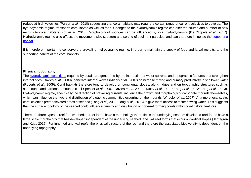reduce at high velocities (Purser *et al.,* 2010) suggesting that coral habitats may require a certain range of current velocities to develop. The hydrodynamic regime transports coral larvae as well as food. Changes to the hydrodynamic regime can alter the source and number of new recruits to coral habitats (Fox *et al.,* 2016). Morphology of sponges can be influenced by local hydrodynamics (De Clippele *et al*., 2017). Hydrodynamic regime also effects the movement, size structure and sorting of sediment particles, and can therefore influence the supporting [habitat.](#page-22-3)

If is therefore important to conserve the prevailing hydrodynamic regime, in order to maintain the supply of food and larval recruits, and the supporting habitat of the coral habitats.

-----------------------------------------------------------------------------------------------------------

#### <span id="page-21-1"></span>**Physical topography**

The hydrodynamic conditions required by corals are generated by the interaction of water currents and topographic features that strengthen internal tides (Davies *et al.*, 2009), generate internal waves (Mienis *et al.*, 2007) or increase mixing and primary productivity in shallower water (Roberts *et al.,* 2009). Coral habitats therefore tend to develop on continental slopes, along ridges and on topographic structures such as seamounts and carbonate mounds (Hall-Spencer *et al.*, 2007, Davies *et al.,* 2009, Tracey *et al.,* 2011; Tong *et al.,* 2012; Tong *et al.,* 2013). Hydrodynamic regime, specifically the direction of prevailing currents, influence the growth and morphology of carbonate mounds themselves, which can influence the type and distribution of biogenic communities occurring on the mounds (Wheeler *et al.,* 2007). At a more local scale, coral colonies prefer elevated areas of seabed (Tong *et al.,* 2012; Tong *et al.,* 2013) to give them access to faster flowing water. This suggests that the surface topology of the seabed could influence density and distribution of non-reef forming corals within coral habitat features.

There are three types of reef forms; inherited reef forms have a morphology that reflects the underlying seabed; developed reef forms have a large scale morphology that has developed independent of the underlying seabed; and wall reef forms that occur on vertical slopes (Järnegren and Kutti, 2016). For inherited and wall reefs, the physical structure of the reef and therefore the associated biodiversity is dependent on the underlying topography.

<span id="page-21-0"></span>-----------------------------------------------------------------------------------------------------------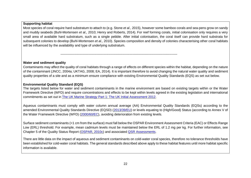## <span id="page-22-3"></span>**Supporting habitat**

Most species of coral require hard substratum to attach to (e.g. Stone *et al.,* 2015), however some bamboo corals and sea-pens grow on sandy and muddy seabeds (Buhl-Mortensen *et al.,* 2010; Henry and Roberts, 2014). For reef forming corals, initial colonisation only requires a very small area of available hard substratum, such as a single pebble. After initial colonisation, the coral itself can provide hard substrata for subsequent colonies to develop (Buhl-Mortensen *et al.,* 2010). Species composition and density of colonies characterising other coral habitats will be influenced by the availability and type of underlying substratum.

## <span id="page-22-4"></span>**Water and sediment quality**

Contaminants may affect the quality of coral habitats through a range of effects on different species within the habitat, depending on the nature of the contaminant (JNCC, 2004a; UKTAG, 2008; EA, 2014). It is important therefore to avoid changing the natural water quality and sediment quality properties of a site and as a minimum ensure compliance with existing Environmental Quality Standards (EQS) as set out below.

-----------------------------------------------------------------------------------------------------------

## **Environmental Quality Standard (EQS)**

The targets listed below for water and sediment contaminants in the marine environment are based on existing targets within or the Water Framework Directive (WFD) and require concentrations and effects to be kept within levels agreed in the existing legislation and international commitments as set out in The UK Marine Strategy Part 1: [The UK Initial Assessment 2012.](https://www.gov.uk/government/uploads/system/uploads/attachment_data/file/69632/pb13860-marine-strategy-part1-20121220.pdf)

<span id="page-22-0"></span>Aqueous contaminants must comply with water column annual average (AA) Environmental Quality Standards (EQSs) according to the amended Environmental Quality Standards Directive (EQSD) [\(2013/39/EU\)](http://eur-lex.europa.eu/LexUriServ/LexUriServ.do?uri=OJ:L:2013:226:0001:0017:EN:PDF) or levels equating to (High/Good) Status (according to Annex V of the Water Framework Directive (WFD) [\(2000/60/EC\)](http://eur-lex.europa.eu/legal-content/EN/TXT/?uri=CELEX:02000L0060-20141120), avoiding deterioration from existing levels.

Surface sediment contaminants (<1 cm from the surface) must fall below the OSPAR Environment Assessment Criteria (EAC) or Effects Range Low (ERL) threshold. For example, mean cadmium levels must be maintained below the ERL of 1.2 mg per kg. For further information, see Chapter 5 of the Quality Status Report [\(OSPAR,](http://qsr2010.ospar.org/en/index.html) 2010c) and associated [QSR Assessments.](http://qsr2010.ospar.org/media/assessments/p00390_2009_CEMP_assessment_report.pdf)

<span id="page-22-2"></span><span id="page-22-1"></span>There are little data on the impact of aqueous and sediment contaminants on cold-water coral species, therefore no tolerance thresholds have been established for cold-water coral habitats. The general standards described above apply to these habitat features until more habitat specific information is available.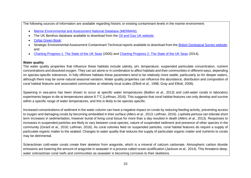The following sources of information are available regarding historic or existing contaminant levels in the marine environment:

- [Marine Environmental and Assessment National Database \(MERMAN\);](http://www.bodc.ac.uk/projects/uk/merman/project_overview/)
- The UK Benthos database available to download from the [Oil and Gas UK website;](http://oilandgasuk.co.uk/environment-resources.cfm)
- [Cefas Green Book;](https://www.cefas.co.uk/cefas-data-hub/publication-abstract/?id=7864)
- Strategic Environmental Assessment Contaminant Technical reports available to download from the [British Geological Survey website;](http://www.bgs.ac.uk/data/sea/) and
- [Charting Progress 1: The State of the UK Seas](http://webarchive.nationalarchives.gov.uk/20141203174606/http:/chartingprogress.defra.gov.uk/charting-progress2005) (2005) and [Charting Progress 2: The State of the UK Seas](http://webarchive.nationalarchives.gov.uk/20141203170558/http:/chartingprogress.defra.gov.uk/) (2014).

#### **Water quality**

The water quality properties that influence these habitats include salinity, pH, temperature, suspended particulate concentration, nutrient concentrations and dissolved oxygen. They can act alone or in combination to affect habitats and their communities in different ways, depending on species-specific tolerances. In fully offshore habitats these parameters tend to be relatively more stable, particularly so for deeper waters, although there may be some natural seasonal variation. Water quality properties can influence the abundance, distribution and composition of coral habitat features and associated communities at relatively local scales (Elliott *et al.*, 1998; Gray and Elliott, 2009).

Spawning in sea-pens has been shown to occur at specific water temperatures (Baillon *et al.,* 2013) and cold-water corals in laboratory experiments began to die at temperatures above 8.7°C (Leifman, 2016). This suggests that coral habitat features can only develop and survive within a specific range of water temperatures, and this is likely to be species specific.

Increased concentrations of sediment in the water column can have a negative impact on corals by reducing feeding activity, preventing access to oxygen and damaging corals by becoming embedded in their surface (Allers *et al.*, 2013; Leifman, 2016). *Lophelia pertusa* can tolerate short term increases in sedimentation, however burial of living coral tissue for more than a day resulted in death (Allers *et al.*, 2013). Responses to increases in suspended particles are likely to vary between coral species, nature of suspended sediment and presence of other species in the community (Girard *et al*., 2016; Leifman, 2016). As coral colonies feed on suspended particles, coral habitat features do require a supply of particulate organic matter to the seabed. Changes to water quality that reduces the supply of particulate organic matter and nutrients to corals may be detrimental.

<span id="page-23-0"></span>Scleractinian cold-water corals create their skeleton from aragonite, which is a mineral of calcium carbonate. Atmospheric carbon dioxide emissions are lowering the amount of aragonite in seawater in a process called ocean acidification (Jackson *et al*., 2014). This threatens deepwater scleractinian coral reefs and communities as seawater is becoming corrosive to their skeletons.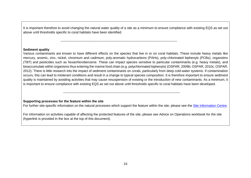It is important therefore to avoid changing the natural water quality of a site as a minimum to ensure compliance with existing EQS as set out above until thresholds specific to coral habitats have been identified.

-----------------------------------------------------------------------------------------------------------

#### **Sediment quality**

Various contaminants are known to have different effects on the species that live in or on coral habitats. These include heavy metals like mercury, arsenic, zinc, nickel, chromium and cadmium, poly-aromatic hydrocarbons (PAHs), poly-chlorinated biphenyls (PCBs), organotins (TBT) and pesticides such as hexachlorobenzene. These can impact species sensitive to particular contaminants (e.g. heavy metals), and bioaccumulate within organisms thus entering the marine food chain (e.g. polychlorinated biphenyls) (OSPAR, 2009b; OSPAR, 2010c; OSPAR, 2012). There is little research into the impact of sediment contaminants on corals, particularly from deep cold-water systems. If contamination occurs, this can lead to intolerant conditions and result in a change to typical species composition. It is therefore important to ensure sediment quality is maintained by avoiding activities that may cause resuspension of existing or the introduction of new contaminants. As a minimum, it is important to ensure compliance with existing EQS as set out above until thresholds specific to coral habitats have been developed.

-----------------------------------------------------------------------------------------------------------

#### **Supporting processes for the feature within the site**

For further site-specific information on the natural processes which support the feature within the site, please see the [Site Information Centre.](http://jncc.defra.gov.uk/page-6535)

<span id="page-24-0"></span>For information on activities capable of affecting the protected features of the site, please see Advice on Operations workbook for the site (hyperlink is provided in the box at the top of this document).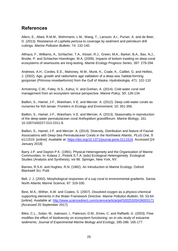# <span id="page-25-0"></span>**References**

Allers, E., Abed, R.M.M., Wehrmann, L.M., Wang, T., Larsson, A.I., Purser, A. and de Beer, D. (2013). Resistance of *Lophelia pertusa* to coverage by sediment and petroleum drill cuttings. *Marine Pollution Bulletin*. 74: 132-140.

Althaus, F., Williams, A., Schlacher, T.A., Kloser, R.J., Green, M.A., Barker, B.A., Bax, N.J., Brodie, P. and Schlacher-Hoenlinger, M.A. (2009). Impacts of bottom trawling on deep-coral ecosystems of seamounts are long-lasting. *Marine Ecology Progress Series,* 397: 279-294.

Andrews, A.H., Cordes, E.E., Mahoney, M.M., Munk, K., Coale, K., Cailliet, G. and Heifetz, J. (2002). Age, growth and radiometric age validation of a deep-sea, habitat-forming gorgonian (*Primnoa resedaeformis*) from the Gulf of Alaska. *Hydrobiologia,* 471: 101-110

Armstrong, C.W., Foley, N.S., Kahui, V. and Grehan, A. (2014). Cold water coral reef management from an ecosystem service perspective. *Marine Policy,* 50**:** 126-134.

Baillon, S., Hamel, J-F., Wareham, V.E. and Mercier. A. (2012). Deep cold-water corals as nurseries for fish larvae. *Frontiers in Ecology and Environment,* 10: 351-356.

Baillon, S., Hamel, J-F., Wareham, V.E. and Mercier, A. (2013). Seasonality in reproduction of the deep-water pennatulacean coral *Anthoptilum grandiflorum*. *Marine Biology*, 161: 10.1007/s00227-013-2311-8.

Baillon, S., Hamel, J-F. and Mercier. A. (2014). Diversity, Distribution and Nature of Faunal Associations with Deep-Sea Pennatulacean Corals in the Northwest Atlantic. *PLoS One,* 9: e111519. [online]. Available at: [https://doi.org/10.1371/journal.pone.0111519.](https://doi.org/10.1371/journal.pone.0111519) Accessed [24 January 2018]

Barry J.P. and Dayton P.K. (1991). Physical Heterogeneity and the Organization of Marine Communities. In: Kolasa J., Pickett S.T.A. (eds) Ecological Heterogeneity. Ecological Studies (Analysis and Synthesis), vol 86. Springer, New York, NY.

Barnes, R.S.K. and Hughes, R.N. (1982). An Introduction to Marine Ecology. Oxford: Blackwell Sci. Publ.

Bell, J. J. (2002). Morphological responses of a cup coral to environmental gradients. Sarsia: North Atlantic Marine Science, 87: 319-330.

Best, M.A., Wither, A.W. and Coates, S. (2007). Dissolved oxygen as a physico-chemical supporting elements in the Water Framework Directive. *Marine Pollution Bulletin*, 55: 53-64 [online]. Available at:<http://www.sciencedirect.com/science/article/pii/S0025326X06003171> [Accessed 20 September 2017].

Biles, C.L., Solan, M., Isaksson, I., Paterson, D.M., Emes, C. and Raffaelli, G. (2003). Flow modifies the effect of biodiversity on ecosystem functioning: an *in-situ* study of estuarine sediments. *Journal of Experimental Marine Biology and Ecology*, 285-286: 165-177.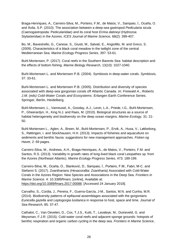Braga-Henriques, A., Carreiro-Silva, M., Porteiro, F.M., de Matos, V., Sampaio, Í., Ocaña, O. and Ávila, S.P. (2010). The association between a deep-sea gastropod *Pedicularia sicula* (Caenogastropoda: Pediculariidae) and its coral host *Errina dabneyi* (Hydrozoa: Stylasteridae) in the Azores. *ICES Journal of Marine Science*, 68(2): 399-407.

Bo, M., Bavestrello, G., Canese, S., Giusti, M., Salvati, E., Angiolillo, M. and Greco, S. (2009). Characteristics of a black coral meadow in the twilight zone of the central Mediterranean Sea. *Marine Ecology Progress Series*, 397: 53-61.

Buhl-Mortensen, P. (2017). Coral reefs in the Southern Barents Sea: habitat description and the effects of bottom fishing. *Marine Biology Research,* 13(10): 1027-1040.

Buhl-Mortensen L. and Mortensen P.B. (2004). Symbiosis in deep-water corals. *Symbiosis,*  37: 33-61.

Buhl-Mortensen L. and Mortensen P.B. (2005). Distribution and diversity of species associated with deep-sea gorgonian corals off Atlantic Canada. *In: Freiwald A., Roberts J.M. (eds) Cold-Water Corals and Ecosystems*. Erlangen Earth Conference Series. Springer, Berlin, Heidelberg.

Buhl-Mortensen, L., Vanreusel, A., Gooday, A.J., Levin, L.A., Priede, I.G., Buhl-Mortensen, P., Gheerardyn, H., King N.J. and Raes, M. (2010). Biological structures as a source of habitat heterogeneity and biodiversity on the deep ocean margins. *Marine Ecology,* 31: 21- 50.

Buhl-Mortensen L., Aglen, A., Breen, M., Buhl-Mortensen, P., Ervik, A., Husa, V., Løkkeborg, S., Røttingen, I. and Stockhausen, H.H. (2013). Impacts of fisheries and aquaculture on sediments and benthic fauna: suggestions for new management approaches. *Fisken og Havet*, 2: 69 pages.

Carreiro-Silva, M., Andrews, A.H., Braga-Henriques, A., de Matos, V., Porteiro, F.M. and Santos, R.S. (2013). Variability in growth rates of long-lived black coral Leiopathes sp. from the Azores (Northeast Atlantic). *Marine Ecology Progress Series*, 473: 189-199.

Carreiro-Silva, M., Ocaña, O., Stanković, D., Sampaio, Í., Porteiro, F.M., Fabri, M-C. and Stefanni S. (2017). Zoantharians (Hexacorallia: Zoantharia) Associated with Cold-Water Corals in the Azores Region: New Species and Associations in the Deep Sea. *Frontiers in Marine Science*. 4: 10.3389/fmars. [online]. Available at: [https://doi.org/10.3389/fmars.2017.00088.](https://doi.org/10.3389/fmars.2017.00088) [Accessed 24 January 2018].

Carvalho, S., Cúrdia, J., Pereira, F., Guerra-García, J-M., Santos, M.N. and Cunha, M.R. (2014). Biodiversity patterns of epifaunal assemblages associated with the gorgonians *Eunicella gazella* and *Leptogorgia lusitanica* in response to host, space and time. *Journal of Sea Research*, 85: 37-47.

Cathalot, C., Van Oevelen, D., Cox, T.J.S., Kutti, T., Lavaleye, M., Duineveld, G. and Meysman, F.J.R. (2015). Cold-water coral reefs and adjacent sponge grounds: hotspots of benthic respiration and organic carbon cycling in the deep sea. *Frontiers in Marine Science*,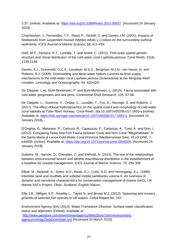2:37. [online]. Available at: [https://doi.org/10.3389/fmars.2015.00037.](https://doi.org/10.3389/fmars.2015.00037) [Accessed 24 January 2018].

Chamberlain, J., Fernandes, T.F., Read, P., Nickell, D. and Davies, I.M. (2001). Impacts of biodeposits from suspended mussel (*Mytilus edulis* L.) culture on the surrounding surficial sediments. *ICES Journal of Marine Science*, 58: 411-416.

Dahl, M.P., Pereyra, R.T., Lundäly, T. and André, C. (2012). Fine-scale spatial genetic structure and clonal distribution of the cold-water coral *Lophelia pertusa*. Coral Reefs, 31(4): 1135-1148.

Davies, A.J., Duineveld, G.C.A., Lavaleye, M.S.S., Bergman, M.J.N., van Haren, H. and Roberts, R.J. (2009). Downwelling and deep-water bottom currents as food supply mechanisms to the cold-water coral *Lophelia pertusa* (Scleractinia) at the Mingulay Reef complex. *Limnology and Oceanography,* 54: 620-629.

De Clippele, L.H., Buhl-Mortensen, P. and Buhl-Mortensen, L. (2015). Fauna associated with cold water gorgonians and sea pens. *Continental Shelf Research*, 105: 67-68.

De Clippele, L., Huvenne, V., Orejas, C., Lundälv, T., Fox, A., Hennige, S. and Roberts, J. (2017). The effect of local hydrodynamics on the spatial extent and morphology of cold-water coral habitats at Tisler Reef, Norway. *Coral Reefs*, doi:10.1007/s00338-017-1653-y [online]. Available at: [https://link.springer.com/article/10.1007/s00338-017-1653-y.](https://link.springer.com/article/10.1007/s00338-017-1653-y) [Accessed 24 January 2018].

D'Onghia, G., Maiorano, P., Carlucci, R., Capezzuto, F., Carluccio, A., Tursi, A. and Sion, L. (2012). Comparing Deep-Sea Fish Fauna between Coral and Non-Coral ''Megahabitats'' in the Santa Maria di Leuca Cold-Water Coral Province (Mediterranean Sea). *PLoS ONE,* 7: e44509. [online]. Available at: [https://doi.org/10.1371/journal.pone.0044509.](https://doi.org/10.1371/journal.pone.0044509) [Accessed 24 January 2018].

Dutertre, M., Hamon, D., Chevalier, C. and Ehrhold, A. (2012). The use of the relationships between environmental factors and benthic macrofaunal distribution in the establishment of a baseline for coastal management. *ICES Journal of Marine Science*, 70: 294-308.

Elliott, M., Nedwell, S., Jones, N.V., Read, S.J., Cutts, N.D. and Hemingway, K.L. (1998). Intertidal sand and mudflats and subtidal mobile sandbanks volume II. An overview of dynamic and sensitivity characteristics for conservation management of marine SACs. UK Marine SACs Project. Oban, Scotland, English Nature.

Ellis J.R., Milligan S.P., Readdy L., Taylor N. and Brown M.J. (2012). Spawning and nursery grounds of selected fish species in UK waters. Cefas Report No. 147.

Environment Agency (EA) (2014). Water Framework Directive: Surface water classification status and objectives [Online]. Available at: [http://www.geostore.com/environmentagency/WebStore?xml=environment](http://www.geostore.com/environmentagency/WebStore?xml=environment-agency/xml/ogcDataDownload.xml)[agency/xml/ogcDataDownload.xml](http://www.geostore.com/environmentagency/WebStore?xml=environment-agency/xml/ogcDataDownload.xml) [Accessed 20 March 2015].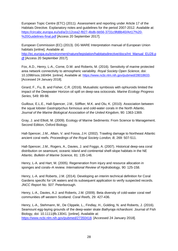European Topic Centre (ETC) (2011). Assessment and reporting under Article 17 of the Habitats Directive. Explanatory notes and guidelines for the period 2007-2012. Available at: [https://circabc.europa.eu/sd/a/2c12cea2-f827-4bdb-bb56-3731c9fd8b40/Art17%20-](https://circabc.europa.eu/sd/a/2c12cea2-f827-4bdb-bb56-3731c9fd8b40/Art17%20-%20Guidelines-final.pdf) [%20Guidelines-final.pdf](https://circabc.europa.eu/sd/a/2c12cea2-f827-4bdb-bb56-3731c9fd8b40/Art17%20-%20Guidelines-final.pdf) [Access 20 September 2017].

European Commission (EC) (2013). DG MARE Interpretation manual of European Union habitats [online]. Available at:

[http://ec.europa.eu/environment/nature/legislation/habitatsdirective/docs/Int\\_Manual\\_EU28.p](http://ec.europa.eu/environment/nature/legislation/habitatsdirective/docs/Int_Manual_EU28.pdf) [df](http://ec.europa.eu/environment/nature/legislation/habitatsdirective/docs/Int_Manual_EU28.pdf) [Access 20 September 2017].

Fox, A.D., Henry, L-A., Corne, D.W. and Roberts, M. (2016). Sensitivity of marine protected area network connectivity to atmospheric variability. *Royal Society Open Science*, doi: 10.1098/rsos.160494. [online]. Available at: [https://www.ncbi.nlm.nih.gov/pubmed/28018633.](https://www.ncbi.nlm.nih.gov/pubmed/28018633) [Accessed 24 January 2018].

Girard, F., Fu, B. and Fisher, C.R. (2016). Mutualistic symbiosis with ophiuroids limited the impact of the Deepwater Horizon oil spill on deep-sea octocorals. *Marine Ecology Progress Series*, 549: 89-98.

Guilloux, E.L.E., Hall-Spencer, J.M., Söffker, M.K. and Olu, K. (2010). Association between the squat lobster *Gastroptychus formosus* and cold-water corals in the North Atlantic. *Journal of the Marine Biological Association of the United Kingdom*, 90: 1363-1369.

Gray, J. and Elliott, M. (2009). Ecology of Marine Sediments: From Science to Management. Second Edition, Oxford Biology.

Hall-Spencer, J.M., Allain, V. and Fossa, J.H. (2002). Trawling damage to Northeast Atlantic ancient coral reefs. *Proceedings of the Royal Society London, B*, 269: 507-511.

Hall-Spencer, J.M., Rogers, A., Davies, J. and Foggo, A. (2007). Historical deep-sea coral distribution on seamount, oceanic island and continental shelf-slope habitats in the NE Atlantic. *Bulletin of Marine Science,* 81: 135-146.

Henry, L‐A. and Hart, M. (2005). Regeneration from injury and resource allocation in sponges and corals–A review. *International Review of Hydrobiology,* 90: 125-158.

Henry, L-A. and Roberts, J.M. (2014). Developing an interim technical definition for Coral Gardens specific for UK waters and its subsequent application to verify suspected records. *JNCC Report No. 507*. Peterborough.

Henry, L-A., Davies, A.J. and Roberts, J.M. (2009). Beta diversity of cold-water coral reef communities off western Scotland. *Coral Reefs,* 29: 427-436.

Henry, L-A., Stehmann, M., De Clippele, L., Findlay, H., Golding, N. and Roberts, J. (2016). Seamount egg-laying grounds of the deep-water skate *Bathyraja richardsoni*. Journal of Fish Biology, doi: 10.1111/ifb.13041. [online]. Available at: [https://www.ncbi.nlm.nih.gov/pubmed/27350418.](https://www.ncbi.nlm.nih.gov/pubmed/27350418) [Accessed 24 January 2018].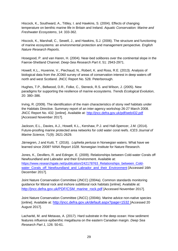Hiscock, K., Southward, A., Tittley, I. and Hawkins, S. (2004). Effects of changing temperature on benthic marine life in Britain and Ireland. *Aquatic Conservation: Marine and Freshwater Ecosystems*, 14: 333-362.

Hiscock, K., Marshall, C., Sewell, J., and Hawkins, S.J. (2006). The structure and functioning of marine ecosystems: an environmental protection and management perspective. *English Nature Research Reports*.

Hosegood, P. and van Haren, H. (2004). Near-bed solibores over the continental slope in the Faeroe-Shetland Channel. *Deep-Sea Research Part II*, 51: 2943-2971.

Howell, K.L., Huvenne, V., Piechaud, N., Robert, K. and Ross, R.E. (2013). Analysis of biological data from the JC060 survey of areas of conservation interest in deep waters off north and west Scotland. JNCC Report No. 528*.* Peterborough.

Hughes, T.P., Bellwood, D.R., Folke, C., Steneck, R.S. and Wilson, J. (2005). New paradigms for supporting the resilience of marine ecosystems. *Trends Ecological Evolution*, 20: 380–386.

Irving, R. (2009). The identification of the main characteristics of stony reef habitats under the Habitats Directive. Summary report of an inter-agency workshop 26-27 March 2008. JNCC Report No. 432. [online]. Available at:<http://jncc.defra.gov.uk/pdf/web432.pdf> [Accessed November 2017].

Jackson, E.L., Davies, A.J., Howell, K.L., Kershaw, P.J. and Hall-Spencer, J.M. (2014). Future-proofing marine protected area networks for cold water coral reefs. *ICES Journal of Marine Science,* 71(9): 2621-2629.

Järnegren, J and Kutti, T. (2016). *Lophelia pertusa* in Norwegian waters. What have we learned since 2008? *NINA Report 1028*. Norwegian Institute for Nature Research.

Jones, K., Devillers, R. and Edinger, E. (2009). Relationships between Cold-water Corals off Newfoundland and Labrador and their Environment. Available at: [https://www.researchgate.net/publication/242178763\\_Relationships\\_between\\_Cold](https://www.researchgate.net/publication/242178763_Relationships_between_Cold-water_Corals_off_Newfoundland_and_Labrador_and_their_Environment)[water\\_Corals\\_off\\_Newfoundland\\_and\\_Labrador\\_and\\_their\\_Environment](https://www.researchgate.net/publication/242178763_Relationships_between_Cold-water_Corals_off_Newfoundland_and_Labrador_and_their_Environment) [Accessed 16th December 2017].

Joint Nature Conservation Committee (JNCC) (2004a). Common standards monitoring guidance for littoral rock and inshore sublittoral rock habitats [online]. Available at: [http://jncc.defra.gov.uk/PDF/CSM\\_marine\\_rock.pdf](http://jncc.defra.gov.uk/PDF/CSM_marine_rock.pdf) [Accessed November 2017].

Joint Nature Conservation Committee (JNCC) (2004b). Marine advice non-native species [online]. Available at: <http://jncc.defra.gov.uk/default.aspx?page=1532> [Accessed 20 August 2017].

Lacharité, M. and Metaxas, A. (2017). Hard substrate in the deep ocean: How sediment features influence epibenthic megafauna on the eastern Canadian margin. *Deep Sea Research Part 1*, 126: 50-61.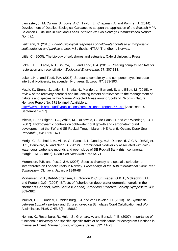Lancaster, J., McCullum, S., Lowe, A.C., Taylor, E., Chapman, A. and Pomfret, J. (2014). Development of Detailed Ecological Guidance to support the application of the Scottish MPA Selection Guidelines in Scotland's seas. *Scottish Natural Heritage Commissioned Report No. 491.* 

Leifmann, S. (2016). *Eco-physiological responses of cold-water corals to anthropogenic sedimentation and particle shape*. MSc thesis, NTNU. Trondheim, Norway.

Little, C. (2000). The biology of soft shores and estuaries, Oxford University Press.

Loke, L.H.L., Ladle, R.J., Bouma, T.J. and Todd, P.A. (2015). Creating complex habitats for restoration and reconciliation. *Ecological Engineering*, 77: 307-313.

Loke, L.H.L. and Todd, P.A. (2016). Structural complexity and component type increase intertidal biodiversity independently of area. *Ecology*, 97: 383-393.

Mazik, K., Strong, J., Little, S., Bhatia, N., Mander, L., Barnard, S. and Elliott, M. (2015). A review of the recovery potential and influencing factors of relevance to the management of habitats and species within Marine Protected Areas around Scotland. Scottish Natural Heritage Report No. 771 [online]. Available at:

[http://www.snh.org.uk/pdfs/publications/commissioned\\_reports/771.pdf](http://www.snh.org.uk/pdfs/publications/commissioned_reports/771.pdf) [Accessed 20 September 2017].

Mienis, F., de Stigter, H.C., White, M., Duineveld, G., de Haas, H. and van Weeringa, T.C.E. (2007). Hydrodynamic controls on cold-water coral growth and carbonate-mound development at the SW and SE Rockall Trough Margin, NE Atlantic Ocean. *Deep-Sea Research I,* 54: 1655-1674.

Morigi, C., Sabbatini, A., Vitale, G., Pancotti, I., Gooday, A.J., Duineveld, G.C.A., DeStigter, H.C., Danovaro, R. and Negri, A. (2012). Foraminiferal biodiversity associated with coldwater coral carbonate mounds and open slope of SE Rockall Bank (Irish continental margin—NE Atlantic). *Deep-Sea Research I,* 59: 54-71.

Mortensen, P.B. and Fosså, J.H. (2006). Species diversity and spatial distribution of invertebrates on Lophelia reefs in Norway. *Proceedings of the 10th International Coral Reef Symposium*. Okinawa, Japan, p 1849-68.

Mortensen, P.B., Buhl-Mortensen, L., Gordon D.C. Jr., Fader, G.B.J., McKeown, D.L. and Fenton, D.G. (2005). Effects of fisheries on deep-water gorgonian corals in the Northeast Channel, Nova Scotia (Canada). *American Fisheries Society Symposium*, 41: 369–382.

Mueller, C.E., Lundälv, T. Middelburg, J.J. and van Oevelen, D. (2013) The Symbiosis between *Lophelia pertusa* and *Eunice norvegica* Stimulates Coral Calcification and Worm Assimilation. PLoS ONE, 8(3): e58660.

Norling, K., Rosenburg, R., Hulth, S., Gremare, A. and Bonsdorff, E. (2007). Importance of functional biodiversity and specific-specific traits of benthic fauna for ecosystem functions in marine sediment. *Marine Ecology Progress Series*, 332: 11-23.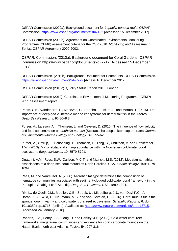OSPAR Commission (2009a). Background document for *Lophelia pertusa* reefs. OSPAR Commission.<https://www.ospar.org/documents?d=7182> [Accessed 15 December 2017].

OSPAR Commission (2009b). Agreement on Coordinated Environmental Monitoring Programme (CEMP) assessment criteria for the QSR 2010. *Monitoring and Assessment Series*. OSPAR Agreement 2009-2002.

OSPAR. Commission. (2010a). Background document for Coral Gardens. OSPAR Commission<https://www.ospar.org/documents?d=7217> [Accessed 15 December 2017].

OSPAR Commission. (2010b). Background Document for Seamounts, OSPAR Commission. <https://www.ospar.org/documents?d=7222> [Access 16 December 2017].

OSPAR Commission (2010c). Quality Status Report 2010. London.

OSPAR Commission (2012). Coordinated Environmental Monitoring Programme (CEMP) 2011 assessment report.

Pham, C.K., Vandeperre, F., Menezes, G., Porteiro, F., Isidro, F. and Morato, T. (2015). The importance of deep-sea vulnerable marine ecosystems for demersal fish in the Azores. *Deep-Sea Research I*, 96:80–8 8.

Purser, A., Larsson, A.I., Thomsen, L. and Oevelen, D. (2010). The influence of flow velocity and food concentration on *Lophelia pertusa* (Scleractinia) zooplankton capture rates. *Journal of Experimental Marine Biology and Ecology*. 395: 55-62.

Purser, A., Ontrup, J., Schoening, T., Thomsen, L., Tong, R., Unnithan, V. and Nattkemper, T.W. (2013). Microhabitat and shrimp abundance within a Norwegian cold-water coral ecosystem. *Biogeosciences*, 10: 5579-5791.

Quattrini, A.M., Ross, S.W., Carlson, M.C.T. and Nizinski, M.S. (2012). Megafaunal-habitat associations at a deep-sea coral mound off North Carolina, USA. *Marine Biology*, 159: 1079- 1094.

Raes, M. and Vanreusel, A. (2006). Microhabitat type determines the composition of nematode communities associated with sediment-clogged cold-water coral framework in the Porcupine Seabight (NE Atlantic). *Deep-Sea Research I,* 53: 1880-1894.

Rix, L., [de Goeij,](https://www.nature.com/articles/srep18715#auth-2) J.M., [Mueller,](https://www.nature.com/articles/srep18715#auth-3) C.E., [Struck,](https://www.nature.com/articles/srep18715#auth-4) U., [Middelburg,](https://www.nature.com/articles/srep18715#auth-5) J.J., [van Duyl](https://www.nature.com/articles/srep18715#auth-6) F.C., [Al-](https://www.nature.com/articles/srep18715#auth-7)[Horani,](https://www.nature.com/articles/srep18715#auth-7) F.A., [Wild,](https://www.nature.com/articles/srep18715#auth-8) C., [Naumann,](https://www.nature.com/articles/srep18715#auth-9) M.S. and [van Oevelen,](https://www.nature.com/articles/srep18715#auth-10) D. (2016). Coral mucus fuels the sponge loop in warm- and cold-water coral reef ecosystems. *Scientific Reports,* 6: doi: 10.1038/srep18715. [online]. Available at: [https://www.nature.com/articles/srep18715.](https://www.nature.com/articles/srep18715) [Accessed 24 January 2018].

Roberts, J.M., Henry, L-A., Long, D. and Hartley, J.P. (2008). Cold-water coral reef frameworks, megafaunal communities and evidence for coral carbonate mounds on the Hatton Bank, north east Atlantic. *Facies,* 54: 297-316.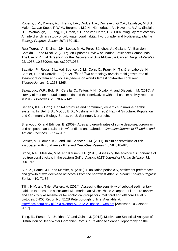Roberts, J.M., Davies, A.J., Henry, L-A., Dodds, L.A., Duineveld, G.C.A., Lavaleye, M.S.S., Maier, C., van Soest, R.W.M., Bergman, M.J.N., Hühnerbach, V., Huvenne, V.A.I., Sinclair, D.J., Watmough, T., Long, D., Green, S.L. and van Haren, H. (2009). Mingulay reef complex: An interdisciplinary study of cold-water coral habitat, hydrography and biodiversity*, Marine Ecology Progress Series,* 397: 139-151.

Ruiz-Torres, V., Encinar, J.H., Lopez, M-H., Pérez-Sánchez, A., Galiano, V., Barrajón-Catalán, E. and Micol, V. (2017). An Updated Review on Marine Anticancer Compounds: The Use of Virtual Screening for the Discovery of Small-Molecule Cancer Drugs. *Molecules*. 22. 1037. 10.3390/molecules22071037.

Sabatier, P., Reyss, J-L., Hall-Spencer, J. M., Colin, C., Frank, N., Tisnérat-Laborde, N., Bordier, L., and Douville, E. (2012). <sup>210</sup>Pb-<sup>226</sup>Ra chronology reveals rapid growth rate of *Madrepora oculata* and *Lophelia pertusa* on world's largest cold-water coral reef, *Biogeosciences*, 9: 1253-1265.

Sawadogo, W.R., Boly, R., Cerella, C., Teiten, M.H., Dicato, M. and Diederich, M. (2015). A survey of marine natural compounds and their derivatives with anti-cancer activity reported in 2012. *Molecules,* 20: 7097-7142.

Sebens, K.P. (1991). Habitat structure and community dynamics in marine benthic systems. In: Bell S.S., McCoy E.D., Mushinsky H.R. (eds) Habitat Structure. Population and Community Biology Series, vol 8. Springer, Dordrecht.

Sherwood, O. and Edinger, E. (2009). Ages and growth rates of some deep-sea gorgonian and antipatharian corals of Newfoundland and Labrador. *Canadian Journal of Fisheries and Aquatic Sciences,* 66: 142-152.

Söffker, M., Sloman, K.A. and Hall-Spencer, J.M. (2011). In situ observations of fish associated with coral reefs off Ireland *Deep-Sea Research I,* 58: 818–825.

Stone, R.P., Masuda, M.M. and Karinen, J.F. (2015). Assessing the ecological importance of red tree coral thickets in the eastern Gulf of Alaska. *ICES Journal of Marine Science*, 72: 900–915.

Sun, Z., Hamel, J.F. and Mercier, A. (2010). Planulation periodicity, settlement preferences and growth of two deep-sea octocorals from the northwest Atlantic. *Marine Ecology Progress Series,* 410: 71-87.

Tillin, H.M. and Tyler-Walters, H. (2014). Assessing the sensitivity of subtidal sedimentary habitats to pressures associated with marine activities: Phase 2 Report – Literature review and sensitivity assessments for ecological groups for circalittoral and offshore Level 5 biotopes. JNCC Report No. 512B Peterborough [online] Available at: [http://jncc.defra.gov.uk/PDF/Report%20512-A\\_phase1\\_web.pdf](http://jncc.defra.gov.uk/PDF/Report%20512-A_phase1_web.pdf) [Accessed 10 October 2017]

Tong, R., Purser, A., Unnithan, V. and Guinan J. (2012). Multivariate Statistical Analysis of Distribution of Deep-Water Gorgonian Corals in Relation to Seabed Topography on the